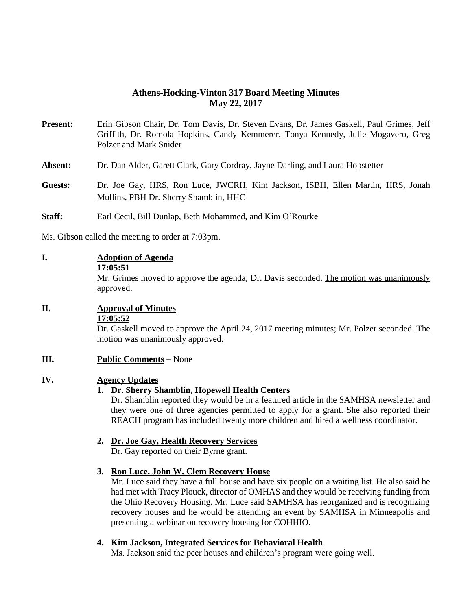## **Athens-Hocking-Vinton 317 Board Meeting Minutes May 22, 2017**

- **Present:** Erin Gibson Chair, Dr. Tom Davis, Dr. Steven Evans, Dr. James Gaskell, Paul Grimes, Jeff Griffith, Dr. Romola Hopkins, Candy Kemmerer, Tonya Kennedy, Julie Mogavero, Greg Polzer and Mark Snider
- **Absent:** Dr. Dan Alder, Garett Clark, Gary Cordray, Jayne Darling, and Laura Hopstetter
- **Guests:** Dr. Joe Gay, HRS, Ron Luce, JWCRH, Kim Jackson, ISBH, Ellen Martin, HRS, Jonah Mullins, PBH Dr. Sherry Shamblin, HHC
- **Staff:** Earl Cecil, Bill Dunlap, Beth Mohammed, and Kim O'Rourke

Ms. Gibson called the meeting to order at 7:03pm.

| I. | <b>Adoption of Agenda</b> |
|----|---------------------------|
|----|---------------------------|

#### **17:05:51**

Mr. Grimes moved to approve the agenda; Dr. Davis seconded. The motion was unanimously approved.

## **II. Approval of Minutes**

#### **17:05:52**

Dr. Gaskell moved to approve the April 24, 2017 meeting minutes; Mr. Polzer seconded. The motion was unanimously approved.

## **III. Public Comments** – None

## **IV. Agency Updates**

## **1. Dr. Sherry Shamblin, Hopewell Health Centers**

Dr. Shamblin reported they would be in a featured article in the SAMHSA newsletter and they were one of three agencies permitted to apply for a grant. She also reported their REACH program has included twenty more children and hired a wellness coordinator.

## **2. Dr. Joe Gay, Health Recovery Services**

Dr. Gay reported on their Byrne grant.

## **3. Ron Luce, John W. Clem Recovery House**

Mr. Luce said they have a full house and have six people on a waiting list. He also said he had met with Tracy Plouck, director of OMHAS and they would be receiving funding from the Ohio Recovery Housing. Mr. Luce said SAMHSA has reorganized and is recognizing recovery houses and he would be attending an event by SAMHSA in Minneapolis and presenting a webinar on recovery housing for COHHIO.

### **4. Kim Jackson, Integrated Services for Behavioral Health**

Ms. Jackson said the peer houses and children's program were going well.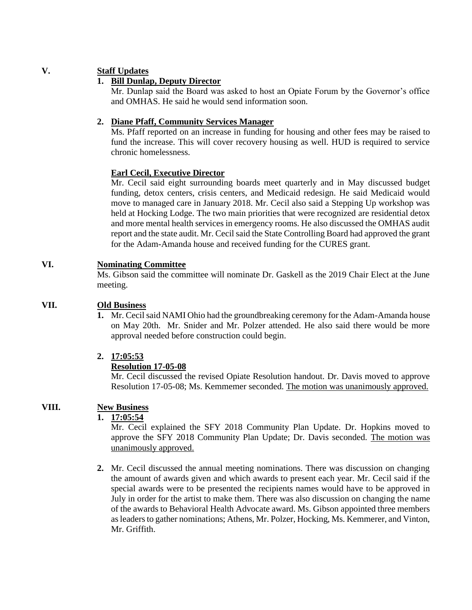## **V. Staff Updates**

## **1. Bill Dunlap, Deputy Director**

Mr. Dunlap said the Board was asked to host an Opiate Forum by the Governor's office and OMHAS. He said he would send information soon.

### **2. Diane Pfaff, Community Services Manager**

Ms. Pfaff reported on an increase in funding for housing and other fees may be raised to fund the increase. This will cover recovery housing as well. HUD is required to service chronic homelessness.

#### **Earl Cecil, Executive Director**

Mr. Cecil said eight surrounding boards meet quarterly and in May discussed budget funding, detox centers, crisis centers, and Medicaid redesign. He said Medicaid would move to managed care in January 2018. Mr. Cecil also said a Stepping Up workshop was held at Hocking Lodge. The two main priorities that were recognized are residential detox and more mental health services in emergency rooms. He also discussed the OMHAS audit report and the state audit. Mr. Cecil said the State Controlling Board had approved the grant for the Adam-Amanda house and received funding for the CURES grant.

## **VI. Nominating Committee**

 Ms. Gibson said the committee will nominate Dr. Gaskell as the 2019 Chair Elect at the June meeting.

### **VII. Old Business**

**1.** Mr. Cecil said NAMI Ohio had the groundbreaking ceremony for the Adam-Amanda house on May 20th. Mr. Snider and Mr. Polzer attended. He also said there would be more approval needed before construction could begin.

### **2. 17:05:53**

### **Resolution 17-05-08**

Mr. Cecil discussed the revised Opiate Resolution handout. Dr. Davis moved to approve Resolution 17-05-08; Ms. Kemmemer seconded. The motion was unanimously approved.

# **VIII. New Business**

# **1. 17:05:54**

Mr. Cecil explained the SFY 2018 Community Plan Update. Dr. Hopkins moved to approve the SFY 2018 Community Plan Update; Dr. Davis seconded. The motion was unanimously approved.

**2.** Mr. Cecil discussed the annual meeting nominations. There was discussion on changing the amount of awards given and which awards to present each year. Mr. Cecil said if the special awards were to be presented the recipients names would have to be approved in July in order for the artist to make them. There was also discussion on changing the name of the awards to Behavioral Health Advocate award. Ms. Gibson appointed three members as leaders to gather nominations; Athens, Mr. Polzer, Hocking, Ms. Kemmerer, and Vinton, Mr. Griffith.